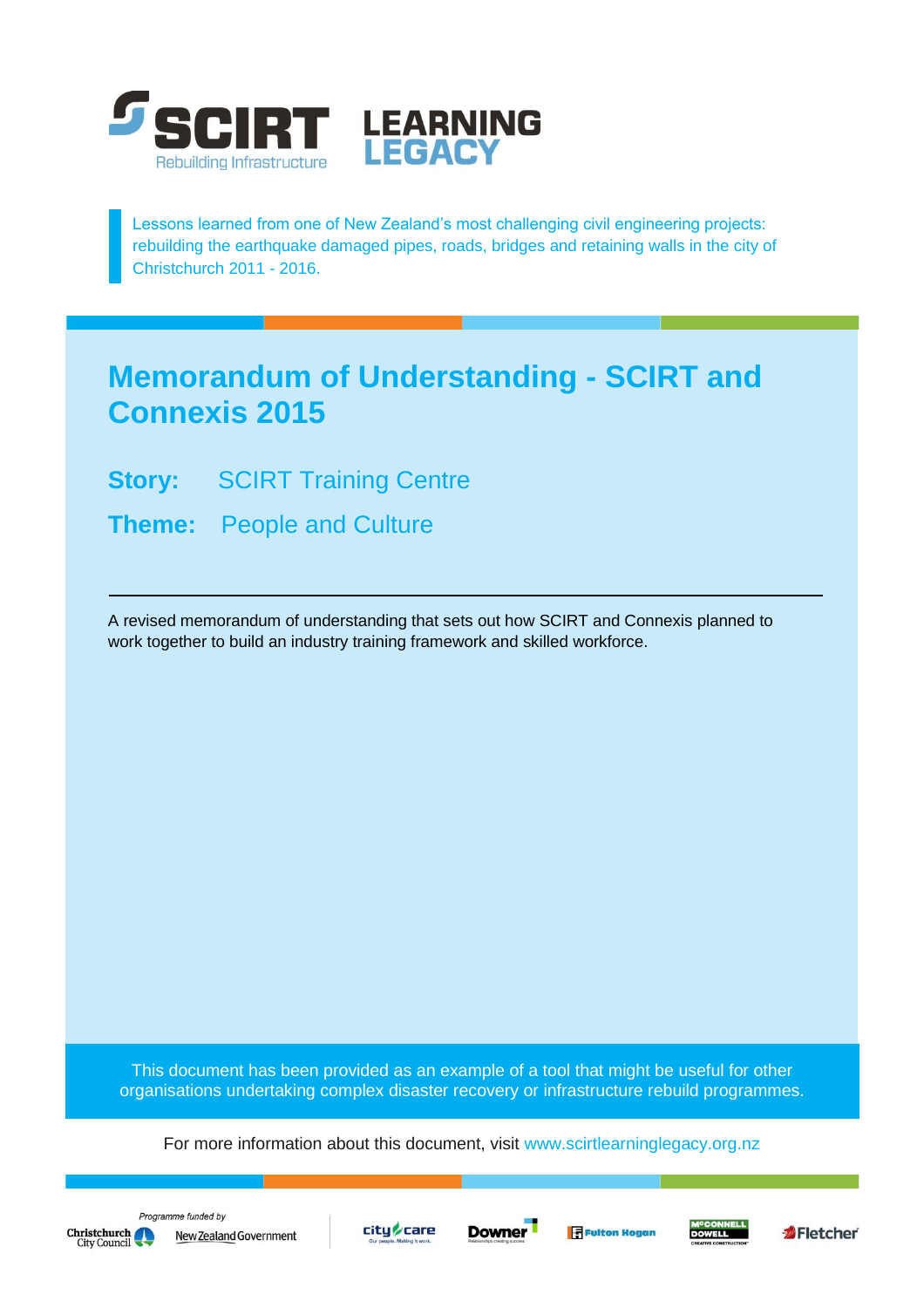

Lessons learned from one of New Zealand's most challenging civil engineering projects: rebuilding the earthquake damaged pipes, roads, bridges and retaining walls in the city of Christchurch 2011 - 2016.

## **Memorandum of Understanding - SCIRT and Connexis 2015**

**Story: SCIRT Training Centre** 

**Theme:** People and Culture

A revised memorandum of understanding that sets out how SCIRT and Connexis planned to work together to build an industry training framework and skilled workforce.

This document has been provided as an example of a tool that might be useful for other organisations undertaking complex disaster recovery or infrastructure rebuild programmes.

For more information about this document, visit [www.scirtlearninglegacy.org.nz](http://www.scirtlearninglegacy.org.nz/)







**Fi** Fulton Hogan



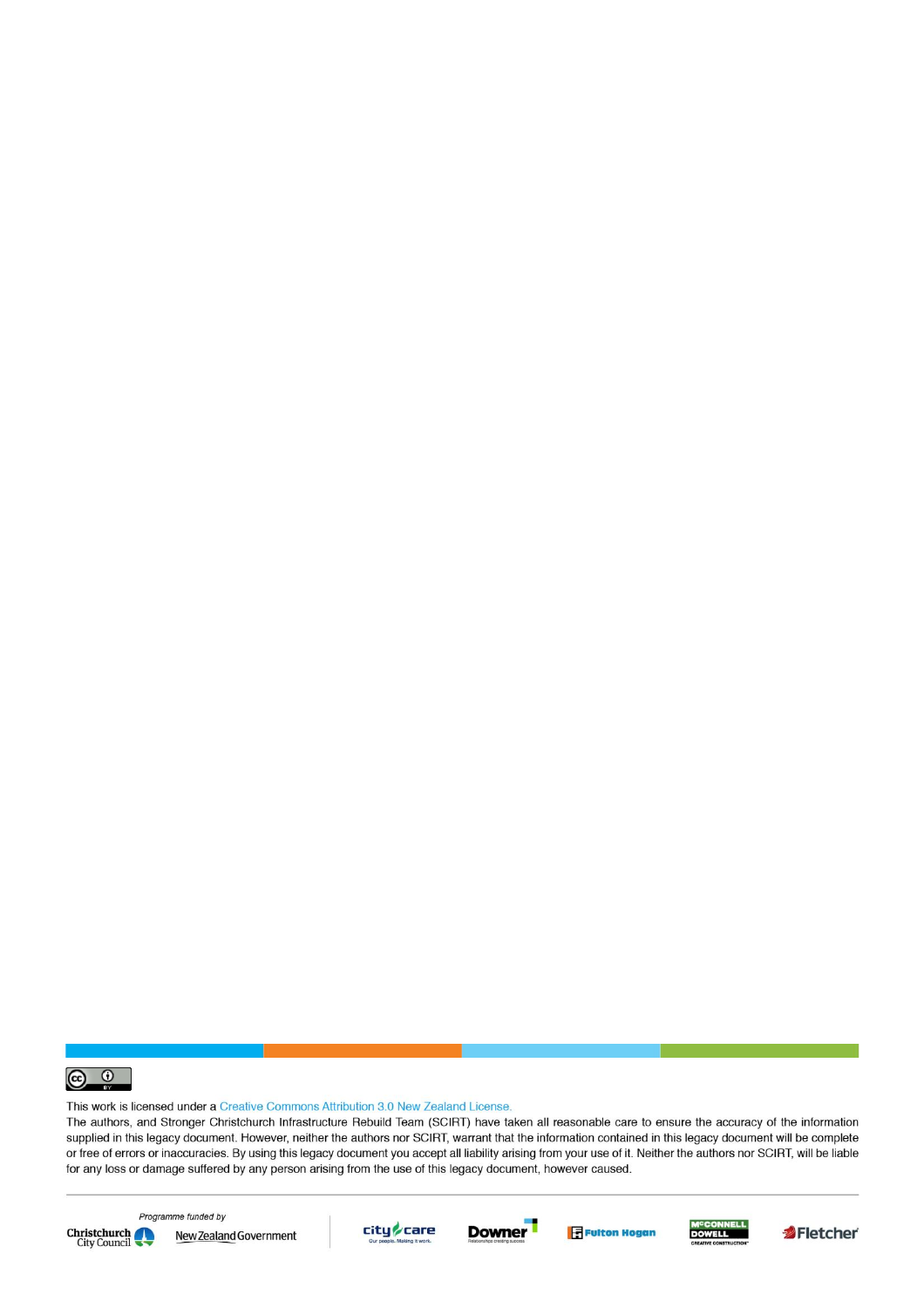

This work is licensed under a Creative Commons Attribution 3.0 New Zealand License.

The authors, and Stronger Christchurch Infrastructure Rebuild Team (SCIRT) have taken all reasonable care to ensure the accuracy of the information supplied in this legacy document. However, neither the authors nor SCIRT, warrant that the information contained in this legacy document will be complete or free of errors or inaccuracies. By using this legacy document you accept all liability arising from your use of it. Neither the authors nor SCIRT, will be liable for any loss or damage suffered by any person arising from the use of this legacy document, however caused.



Programme funded by New Zealand Government









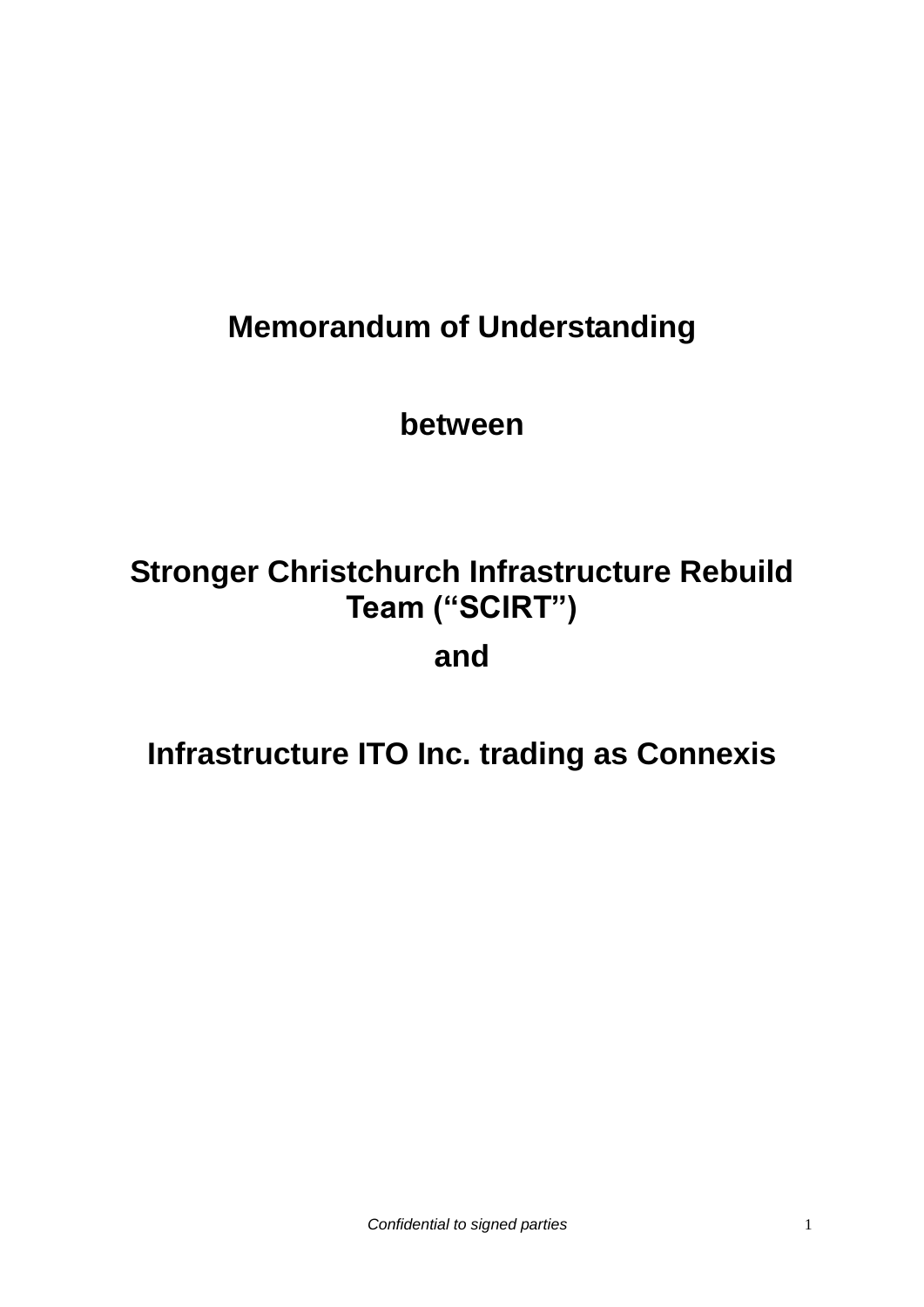# **Memorandum of Understanding**

**between**

# **Stronger Christchurch Infrastructure Rebuild Team ("SCIRT") and**

# **Infrastructure ITO Inc. trading as Connexis**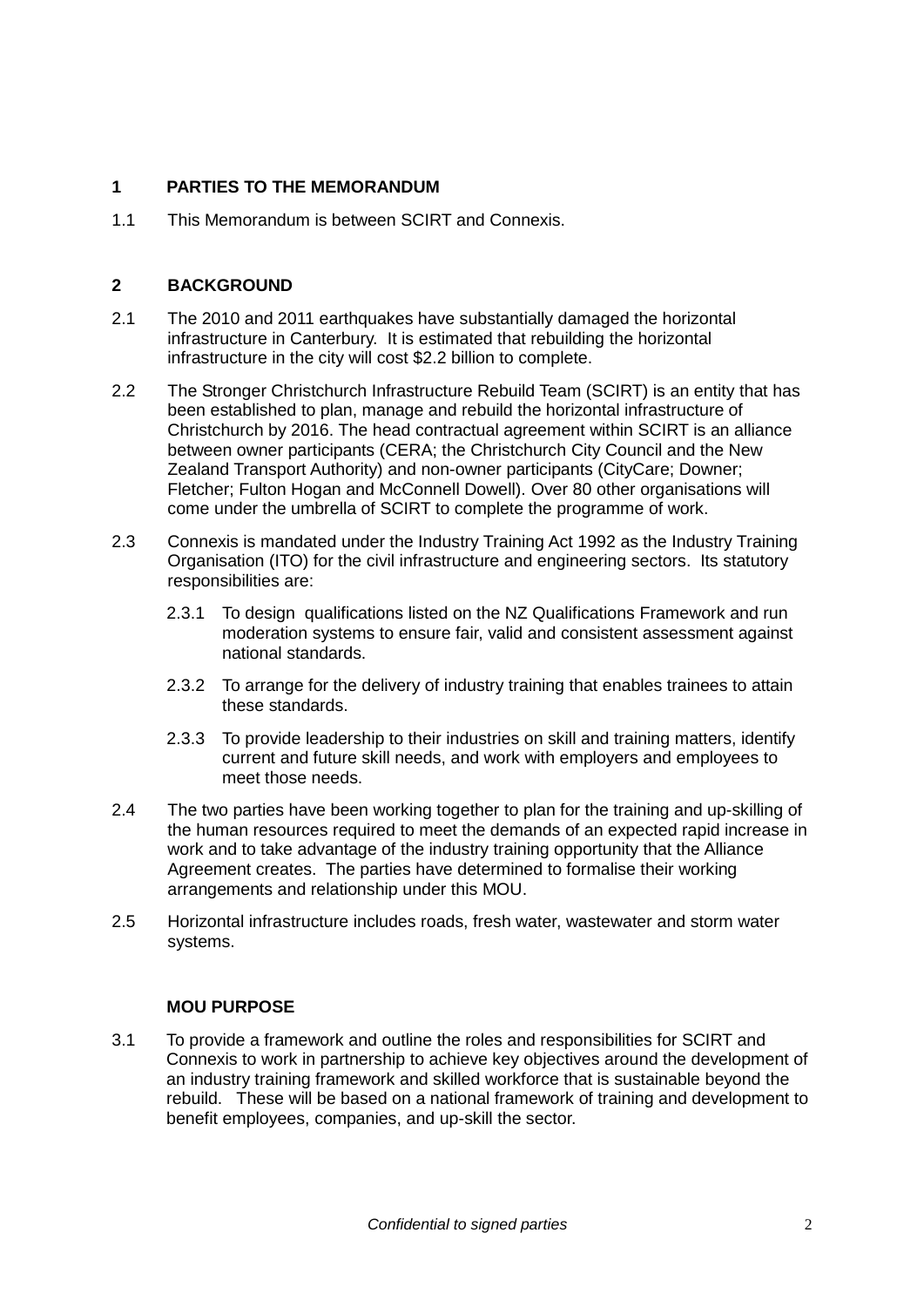#### **1 PARTIES TO THE MEMORANDUM**

1.1 This Memorandum is between SCIRT and Connexis.

#### **2 BACKGROUND**

- 2.1 The 2010 and 2011 earthquakes have substantially damaged the horizontal infrastructure in Canterbury. It is estimated that rebuilding the horizontal infrastructure in the city will cost \$2.2 billion to complete.
- 2.2 The Stronger Christchurch Infrastructure Rebuild Team (SCIRT) is an entity that has been established to plan, manage and rebuild the horizontal infrastructure of Christchurch by 2016. The head contractual agreement within SCIRT is an alliance between owner participants (CERA; the Christchurch City Council and the New Zealand Transport Authority) and non-owner participants (CityCare; Downer; Fletcher; Fulton Hogan and McConnell Dowell). Over 80 other organisations will come under the umbrella of SCIRT to complete the programme of work.
- 2.3 Connexis is mandated under the Industry Training Act 1992 as the Industry Training Organisation (ITO) for the civil infrastructure and engineering sectors. Its statutory responsibilities are:
	- 2.3.1 To design qualifications listed on the NZ Qualifications Framework and run moderation systems to ensure fair, valid and consistent assessment against national standards.
	- 2.3.2 To arrange for the delivery of industry training that enables trainees to attain these standards.
	- 2.3.3 To provide leadership to their industries on skill and training matters, identify current and future skill needs, and work with employers and employees to meet those needs.
- 2.4 The two parties have been working together to plan for the training and up-skilling of the human resources required to meet the demands of an expected rapid increase in work and to take advantage of the industry training opportunity that the Alliance Agreement creates. The parties have determined to formalise their working arrangements and relationship under this MOU.
- 2.5 Horizontal infrastructure includes roads, fresh water, wastewater and storm water systems.

#### **MOU PURPOSE**

3.1 To provide a framework and outline the roles and responsibilities for SCIRT and Connexis to work in partnership to achieve key objectives around the development of an industry training framework and skilled workforce that is sustainable beyond the rebuild. These will be based on a national framework of training and development to benefit employees, companies, and up-skill the sector.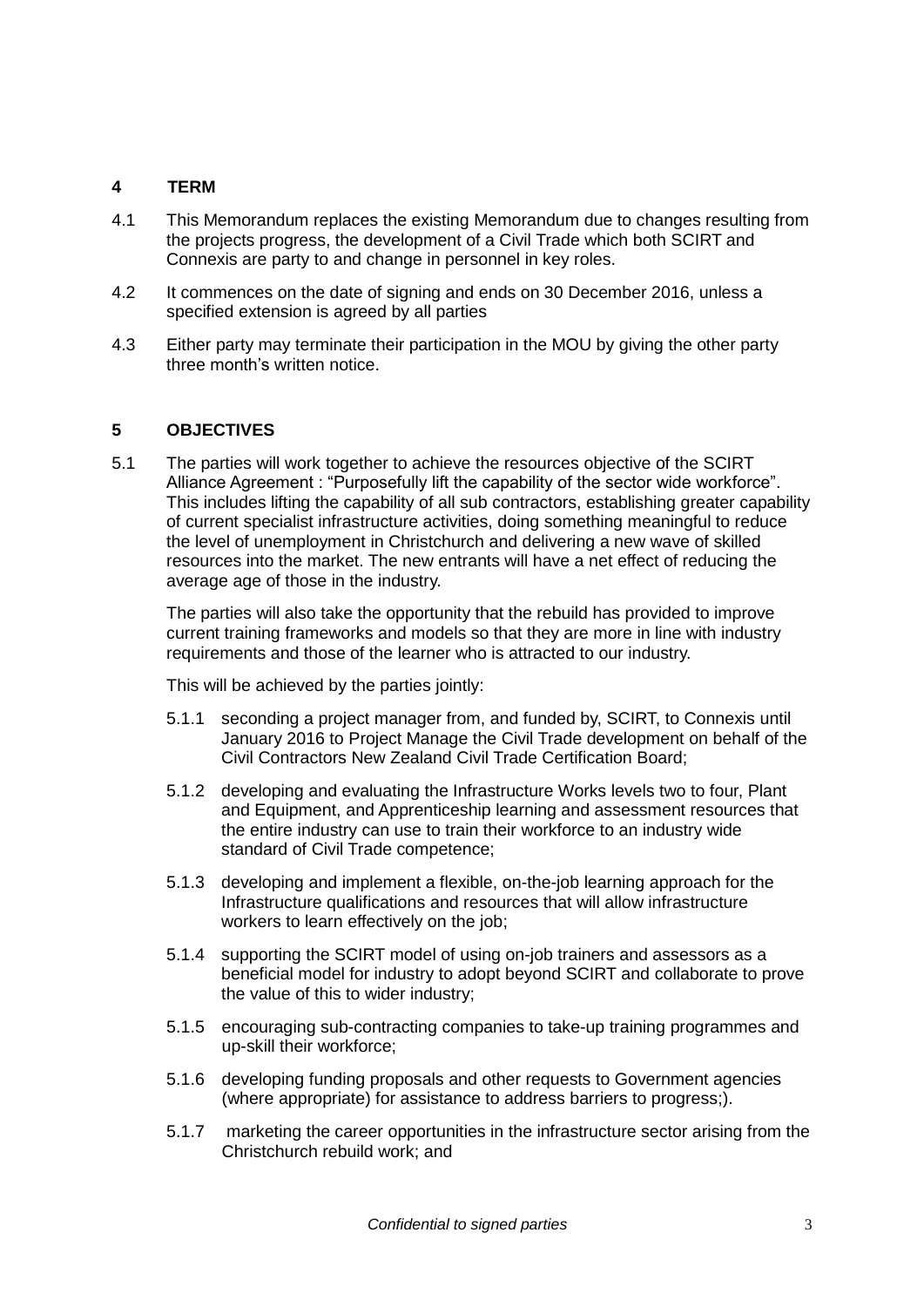#### **4 TERM**

- 4.1 This Memorandum replaces the existing Memorandum due to changes resulting from the projects progress, the development of a Civil Trade which both SCIRT and Connexis are party to and change in personnel in key roles.
- 4.2 It commences on the date of signing and ends on 30 December 2016, unless a specified extension is agreed by all parties
- 4.3 Either party may terminate their participation in the MOU by giving the other party three month's written notice.

#### **5 OBJECTIVES**

5.1 The parties will work together to achieve the resources objective of the SCIRT Alliance Agreement : "Purposefully lift the capability of the sector wide workforce". This includes lifting the capability of all sub contractors, establishing greater capability of current specialist infrastructure activities, doing something meaningful to reduce the level of unemployment in Christchurch and delivering a new wave of skilled resources into the market. The new entrants will have a net effect of reducing the average age of those in the industry.

The parties will also take the opportunity that the rebuild has provided to improve current training frameworks and models so that they are more in line with industry requirements and those of the learner who is attracted to our industry.

This will be achieved by the parties jointly:

- 5.1.1 seconding a project manager from, and funded by, SCIRT, to Connexis until January 2016 to Project Manage the Civil Trade development on behalf of the Civil Contractors New Zealand Civil Trade Certification Board;
- 5.1.2 developing and evaluating the Infrastructure Works levels two to four, Plant and Equipment, and Apprenticeship learning and assessment resources that the entire industry can use to train their workforce to an industry wide standard of Civil Trade competence;
- 5.1.3 developing and implement a flexible, on-the-job learning approach for the Infrastructure qualifications and resources that will allow infrastructure workers to learn effectively on the job;
- 5.1.4 supporting the SCIRT model of using on-job trainers and assessors as a beneficial model for industry to adopt beyond SCIRT and collaborate to prove the value of this to wider industry;
- 5.1.5 encouraging sub-contracting companies to take-up training programmes and up-skill their workforce;
- 5.1.6 developing funding proposals and other requests to Government agencies (where appropriate) for assistance to address barriers to progress;).
- 5.1.7 marketing the career opportunities in the infrastructure sector arising from the Christchurch rebuild work; and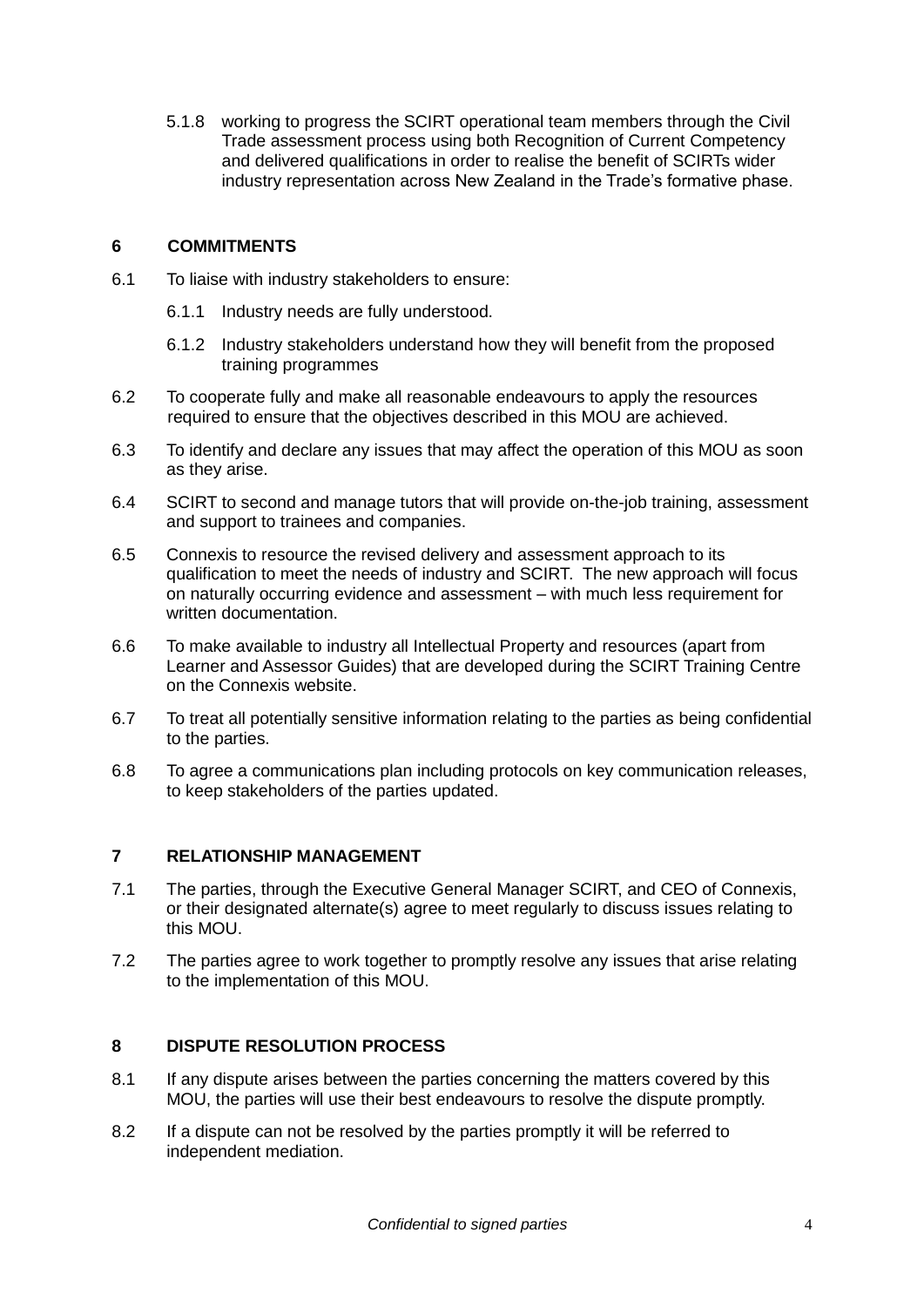5.1.8 working to progress the SCIRT operational team members through the Civil Trade assessment process using both Recognition of Current Competency and delivered qualifications in order to realise the benefit of SCIRTs wider industry representation across New Zealand in the Trade's formative phase.

#### **6 COMMITMENTS**

- 6.1 To liaise with industry stakeholders to ensure:
	- 6.1.1 Industry needs are fully understood.
	- 6.1.2 Industry stakeholders understand how they will benefit from the proposed training programmes
- 6.2 To cooperate fully and make all reasonable endeavours to apply the resources required to ensure that the objectives described in this MOU are achieved.
- 6.3 To identify and declare any issues that may affect the operation of this MOU as soon as they arise.
- 6.4 SCIRT to second and manage tutors that will provide on-the-job training, assessment and support to trainees and companies.
- 6.5 Connexis to resource the revised delivery and assessment approach to its qualification to meet the needs of industry and SCIRT. The new approach will focus on naturally occurring evidence and assessment – with much less requirement for written documentation.
- 6.6 To make available to industry all Intellectual Property and resources (apart from Learner and Assessor Guides) that are developed during the SCIRT Training Centre on the Connexis website.
- 6.7 To treat all potentially sensitive information relating to the parties as being confidential to the parties.
- 6.8 To agree a communications plan including protocols on key communication releases, to keep stakeholders of the parties updated.

#### **7 RELATIONSHIP MANAGEMENT**

- 7.1 The parties, through the Executive General Manager SCIRT, and CEO of Connexis, or their designated alternate(s) agree to meet regularly to discuss issues relating to this MOU.
- 7.2 The parties agree to work together to promptly resolve any issues that arise relating to the implementation of this MOU.

#### **8 DISPUTE RESOLUTION PROCESS**

- 8.1 If any dispute arises between the parties concerning the matters covered by this MOU, the parties will use their best endeavours to resolve the dispute promptly.
- 8.2 If a dispute can not be resolved by the parties promptly it will be referred to independent mediation.